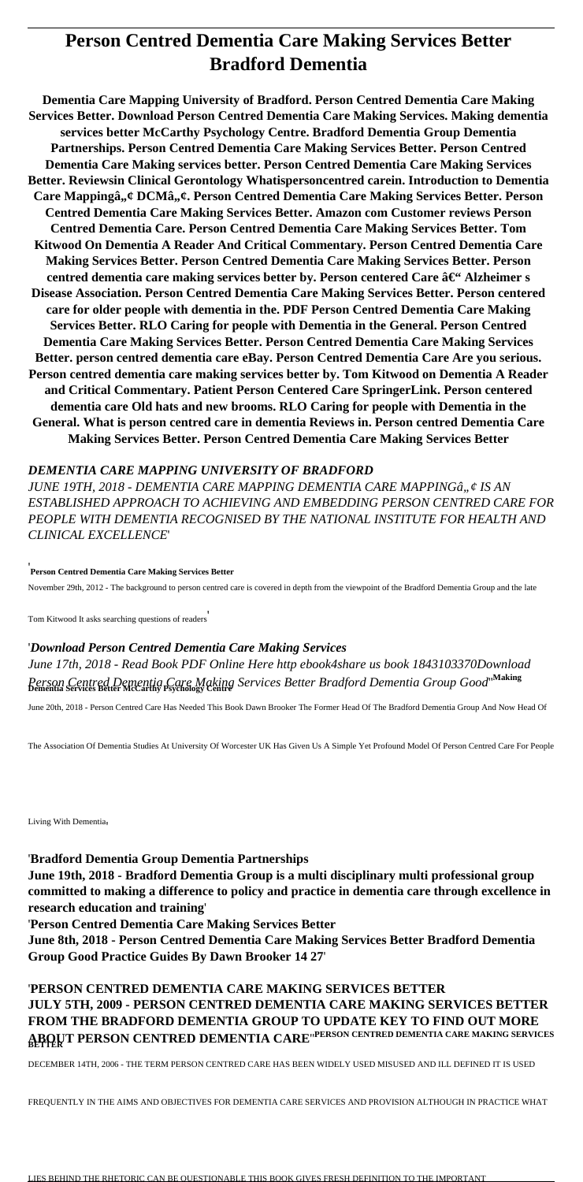# **Person Centred Dementia Care Making Services Better Bradford Dementia**

**Dementia Care Mapping University of Bradford. Person Centred Dementia Care Making Services Better. Download Person Centred Dementia Care Making Services. Making dementia services better McCarthy Psychology Centre. Bradford Dementia Group Dementia Partnerships. Person Centred Dementia Care Making Services Better. Person Centred Dementia Care Making services better. Person Centred Dementia Care Making Services Better. Reviewsin Clinical Gerontology Whatispersoncentred carein. Introduction to Dementia** Care Mappingâ,,¢ DCMâ,,¢. Person Centred Dementia Care Making Services Better. Person **Centred Dementia Care Making Services Better. Amazon com Customer reviews Person Centred Dementia Care. Person Centred Dementia Care Making Services Better. Tom Kitwood On Dementia A Reader And Critical Commentary. Person Centred Dementia Care Making Services Better. Person Centred Dementia Care Making Services Better. Person** centred dementia care making services better by. Person centered Care â€<sup>"</sup> Alzheimer s **Disease Association. Person Centred Dementia Care Making Services Better. Person centered care for older people with dementia in the. PDF Person Centred Dementia Care Making Services Better. RLO Caring for people with Dementia in the General. Person Centred Dementia Care Making Services Better. Person Centred Dementia Care Making Services Better. person centred dementia care eBay. Person Centred Dementia Care Are you serious. Person centred dementia care making services better by. Tom Kitwood on Dementia A Reader and Critical Commentary. Patient Person Centered Care SpringerLink. Person centered dementia care Old hats and new brooms. RLO Caring for people with Dementia in the General. What is person centred care in dementia Reviews in. Person centred Dementia Care Making Services Better. Person Centred Dementia Care Making Services Better**

JUNE 19TH, 2018 - DEMENTIA CARE MAPPING DEMENTIA CARE MAPPINGâ., ¢ IS AN *ESTABLISHED APPROACH TO ACHIEVING AND EMBEDDING PERSON CENTRED CARE FOR PEOPLE WITH DEMENTIA RECOGNISED BY THE NATIONAL INSTITUTE FOR HEALTH AND CLINICAL EXCELLENCE*'

### *DEMENTIA CARE MAPPING UNIVERSITY OF BRADFORD*

'**Person Centred Dementia Care Making Services Better**

November 29th, 2012 - The background to person centred care is covered in depth from the viewpoint of the Bradford Dementia Group and the late

Tom Kitwood It asks searching questions of readers'

'*Download Person Centred Dementia Care Making Services June 17th, 2018 - Read Book PDF Online Here http ebook4share us book 1843103370Download Person Centred Dementia Care Making Services Better Bradford Dementia Group Good*''**Making Dementia Services Better McCarthy Psychology Centre**

June 20th, 2018 - Person Centred Care Has Needed This Book Dawn Brooker The Former Head Of The Bradford Dementia Group And Now Head Of

The Association Of Dementia Studies At University Of Worcester UK Has Given Us A Simple Yet Profound Model Of Person Centred Care For People

Living With Dementia'

### '**Bradford Dementia Group Dementia Partnerships**

**June 19th, 2018 - Bradford Dementia Group is a multi disciplinary multi professional group committed to making a difference to policy and practice in dementia care through excellence in research education and training**'

'**Person Centred Dementia Care Making Services Better**

**June 8th, 2018 - Person Centred Dementia Care Making Services Better Bradford Dementia Group Good Practice Guides By Dawn Brooker 14 27**'

## '**PERSON CENTRED DEMENTIA CARE MAKING SERVICES BETTER JULY 5TH, 2009 - PERSON CENTRED DEMENTIA CARE MAKING SERVICES BETTER FROM THE BRADFORD DEMENTIA GROUP TO UPDATE KEY TO FIND OUT MORE ABOUT PERSON CENTRED DEMENTIA CARE**''**PERSON CENTRED DEMENTIA CARE MAKING SERVICES BETTER**

DECEMBER 14TH, 2006 - THE TERM PERSON CENTRED CARE HAS BEEN WIDELY USED MISUSED AND ILL DEFINED IT IS USED

FREQUENTLY IN THE AIMS AND OBJECTIVES FOR DEMENTIA CARE SERVICES AND PROVISION ALTHOUGH IN PRACTICE WHAT

LIES BEHIND THE RHETORIC CAN BE QUESTIONABLE THIS BOOK GIVES FRESH DEFINITION TO THE IMPORTANT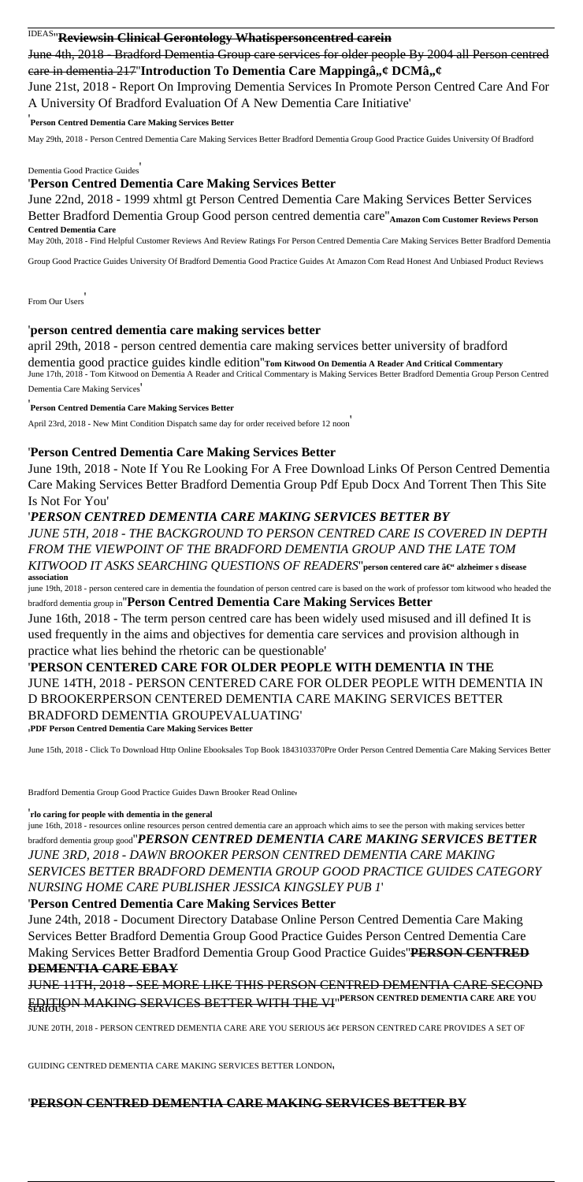# IDEAS''**Reviewsin Clinical Gerontology Whatispersoncentred carein**

June 4th, 2018 - Bradford Dementia Group care services for older people By 2004 all Person centred eare in dementia 217<sup>"</sup>Introduction To Dementia Care Mappingâ,,¢ DCMâ,,¢ June 21st, 2018 - Report On Improving Dementia Services In Promote Person Centred Care And For A University Of Bradford Evaluation Of A New Dementia Care Initiative'

June 22nd, 2018 - 1999 xhtml gt Person Centred Dementia Care Making Services Better Services Better Bradford Dementia Group Good person centred dementia care"<sub>Amazon Com Customer Reviews Person</sub>

'**Person Centred Dementia Care Making Services Better**

May 29th, 2018 - Person Centred Dementia Care Making Services Better Bradford Dementia Group Good Practice Guides University Of Bradford

Dementia Good Practice Guides'

### '**Person Centred Dementia Care Making Services Better**

**Centred Dementia Care**

May 20th, 2018 - Find Helpful Customer Reviews And Review Ratings For Person Centred Dementia Care Making Services Better Bradford Dementia

Group Good Practice Guides University Of Bradford Dementia Good Practice Guides At Amazon Com Read Honest And Unbiased Product Reviews

From Our Users'

### '**person centred dementia care making services better**

april 29th, 2018 - person centred dementia care making services better university of bradford dementia good practice guides kindle edition''**Tom Kitwood On Dementia A Reader And Critical Commentary** June 17th, 2018 - Tom Kitwood on Dementia A Reader and Critical Commentary is Making Services Better Bradford Dementia Group Person Centred

Dementia Care Making Services'

'**Person Centred Dementia Care Making Services Better**

April 23rd, 2018 - New Mint Condition Dispatch same day for order received before 12 noon'

### '**Person Centred Dementia Care Making Services Better**

June 19th, 2018 - Note If You Re Looking For A Free Download Links Of Person Centred Dementia Care Making Services Better Bradford Dementia Group Pdf Epub Docx And Torrent Then This Site Is Not For You'

### '*PERSON CENTRED DEMENTIA CARE MAKING SERVICES BETTER BY*

*JUNE 5TH, 2018 - THE BACKGROUND TO PERSON CENTRED CARE IS COVERED IN DEPTH FROM THE VIEWPOINT OF THE BRADFORD DEMENTIA GROUP AND THE LATE TOM KITWOOD IT ASKS SEARCHING QUESTIONS OF READERS*" person centered care â€" alzheimer s disease **association**

june 19th, 2018 - person centered care in dementia the foundation of person centred care is based on the work of professor tom kitwood who headed the bradford dementia group in''**Person Centred Dementia Care Making Services Better**

June 16th, 2018 - The term person centred care has been widely used misused and ill defined It is used frequently in the aims and objectives for dementia care services and provision although in practice what lies behind the rhetoric can be questionable'

### '**PERSON CENTERED CARE FOR OLDER PEOPLE WITH DEMENTIA IN THE** JUNE 14TH, 2018 - PERSON CENTERED CARE FOR OLDER PEOPLE WITH DEMENTIA IN D BROOKERPERSON CENTERED DEMENTIA CARE MAKING SERVICES BETTER BRADFORD DEMENTIA GROUPEVALUATING' '**PDF Person Centred Dementia Care Making Services Better**

June 15th, 2018 - Click To Download Http Online Ebooksales Top Book 1843103370Pre Order Person Centred Dementia Care Making Services Better

Bradford Dementia Group Good Practice Guides Dawn Brooker Read Online'

#### '**rlo caring for people with dementia in the general**

june 16th, 2018 - resources online resources person centred dementia care an approach which aims to see the person with making services better bradford dementia group good''*PERSON CENTRED DEMENTIA CARE MAKING SERVICES BETTER JUNE 3RD, 2018 - DAWN BROOKER PERSON CENTRED DEMENTIA CARE MAKING SERVICES BETTER BRADFORD DEMENTIA GROUP GOOD PRACTICE GUIDES CATEGORY NURSING HOME CARE PUBLISHER JESSICA KINGSLEY PUB 1*'

### '**Person Centred Dementia Care Making Services Better**

June 24th, 2018 - Document Directory Database Online Person Centred Dementia Care Making Services Better Bradford Dementia Group Good Practice Guides Person Centred Dementia Care Making Services Better Bradford Dementia Group Good Practice Guides''**PERSON CENTRED DEMENTIA CARE EBAY**

## JUNE 11TH, 2018 - SEE MORE LIKE THIS PERSON CENTRED DEMENTIA CARE SECOND EDITION MAKING SERVICES BETTER WITH THE VI''**PERSON CENTRED DEMENTIA CARE ARE YOU SERIOUS**

JUNE 20TH, 2018 - PERSON CENTRED DEMENTIA CARE ARE YOU SERIOUS • PERSON CENTRED CARE PROVIDES A SET OF

GUIDING CENTRED DEMENTIA CARE MAKING SERVICES BETTER LONDON'

#### '**PERSON CENTRED DEMENTIA CARE MAKING SERVICES BETTER BY**